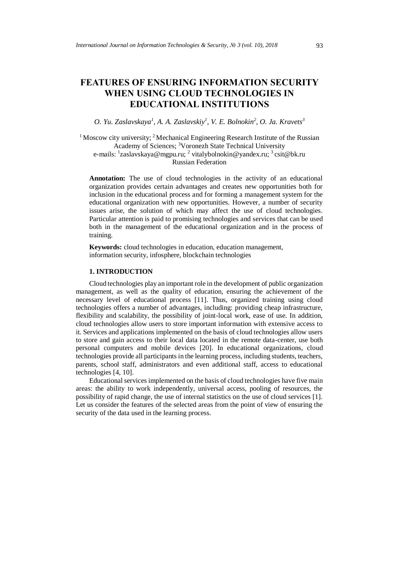# **FEATURES OF ENSURING INFORMATION SECURITY WHEN USING CLOUD TECHNOLOGIES IN EDUCATIONAL INSTITUTIONS**

*O. Yu. Zaslavskaya<sup>1</sup> , A. A. Zaslavskiy<sup>1</sup> , V. E. Bolnokin<sup>2</sup> , O. Ja. Kravets<sup>3</sup>*

<sup>1</sup> Moscow city university; <sup>2</sup> Mechanical Engineering Research Institute of the Russian Academy of Sciences; <sup>3</sup>Voronezh State Technical University e-mails: <sup>1</sup>[zaslavskaya@mgpu.ru;](mailto:zaslavskaya@mgpu.ru) <sup>2</sup> [vitalybolnokin@yandex.ru;](mailto:vitalybolnokin@yandex.ru) <sup>3</sup> csit@bk.ru Russian Federation

**Annotation:** The use of cloud technologies in the activity of an educational organization provides certain advantages and creates new opportunities both for inclusion in the educational process and for forming a management system for the educational organization with new opportunities. However, a number of security issues arise, the solution of which may affect the use of cloud technologies. Particular attention is paid to promising technologies and services that can be used both in the management of the educational organization and in the process of training.

**Keywords:** cloud technologies in education, education management, information security, infosphere, blockchain technologies

## **1. INTRODUCTION**

Cloud technologies play an important role in the development of public organization management, as well as the quality of education, ensuring the achievement of the necessary level of educational process [11]. Thus, organized training using cloud technologies offers a number of advantages, including: providing cheap infrastructure, flexibility and scalability, the possibility of joint-local work, ease of use. In addition, cloud technologies allow users to store important information with extensive access to it. Services and applications implemented on the basis of cloud technologies allow users to store and gain access to their local data located in the remote data-center, use both personal computers and mobile devices [20]. In educational organizations, cloud technologies provide all participants in the learning process, including students, teachers, parents, school staff, administrators and even additional staff, access to educational technologies [4, 10].

Educational services implemented on the basis of cloud technologies have five main areas: the ability to work independently, universal access, pooling of resources, the possibility of rapid change, the use of internal statistics on the use of cloud services [1]. Let us consider the features of the selected areas from the point of view of ensuring the security of the data used in the learning process.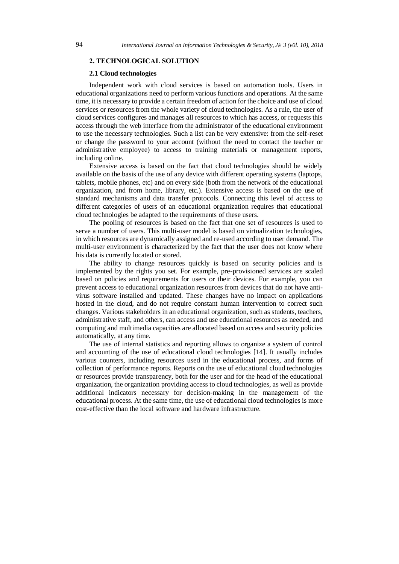#### **2. TECHNOLOGICAL SOLUTION**

#### **2.1 Cloud technologies**

Independent work with cloud services is based on automation tools. Users in educational organizations need to perform various functions and operations. At the same time, it is necessary to provide a certain freedom of action for the choice and use of cloud services or resources from the whole variety of cloud technologies. As a rule, the user of cloud services configures and manages all resources to which has access, or requests this access through the web interface from the administrator of the educational environment to use the necessary technologies. Such a list can be very extensive: from the self-reset or change the password to your account (without the need to contact the teacher or administrative employee) to access to training materials or management reports, including online.

Extensive access is based on the fact that cloud technologies should be widely available on the basis of the use of any device with different operating systems (laptops, tablets, mobile phones, etc) and on every side (both from the network of the educational organization, and from home, library, etc.). Extensive access is based on the use of standard mechanisms and data transfer protocols. Connecting this level of access to different categories of users of an educational organization requires that educational cloud technologies be adapted to the requirements of these users.

The pooling of resources is based on the fact that one set of resources is used to serve a number of users. This multi-user model is based on virtualization technologies, in which resources are dynamically assigned and re-used according to user demand. The multi-user environment is characterized by the fact that the user does not know where his data is currently located or stored.

The ability to change resources quickly is based on security policies and is implemented by the rights you set. For example, pre-provisioned services are scaled based on policies and requirements for users or their devices. For example, you can prevent access to educational organization resources from devices that do not have antivirus software installed and updated. These changes have no impact on applications hosted in the cloud, and do not require constant human intervention to correct such changes. Various stakeholders in an educational organization, such as students, teachers, administrative staff, and others, can access and use educational resources as needed, and computing and multimedia capacities are allocated based on access and security policies automatically, at any time.

The use of internal statistics and reporting allows to organize a system of control and accounting of the use of educational cloud technologies [14]. It usually includes various counters, including resources used in the educational process, and forms of collection of performance reports. Reports on the use of educational cloud technologies or resources provide transparency, both for the user and for the head of the educational organization, the organization providing access to cloud technologies, as well as provide additional indicators necessary for decision-making in the management of the educational process. At the same time, the use of educational cloud technologies is more cost-effective than the local software and hardware infrastructure.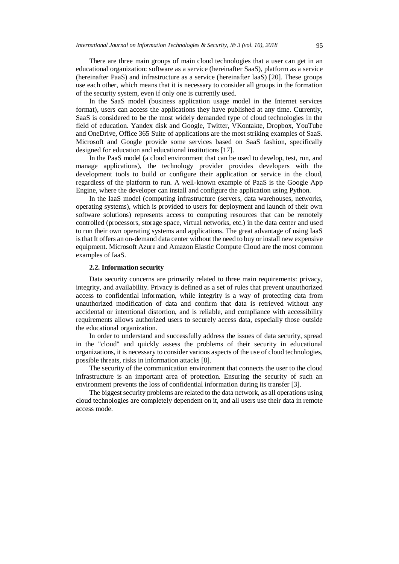There are three main groups of main cloud technologies that a user can get in an educational organization: software as a service (hereinafter SaaS), platform as a service (hereinafter PaaS) and infrastructure as a service (hereinafter IaaS) [20]. These groups use each other, which means that it is necessary to consider all groups in the formation of the security system, even if only one is currently used.

In the SaaS model (business application usage model in the Internet services format), users can access the applications they have published at any time. Currently, SaaS is considered to be the most widely demanded type of cloud technologies in the field of education. Yandex disk and Google, Twitter, VKontakte, Dropbox, YouTube and OneDrive, Office 365 Suite of applications are the most striking examples of SaaS. Microsoft and Google provide some services based on SaaS fashion, specifically designed for education and educational institutions [17].

In the PaaS model (a cloud environment that can be used to develop, test, run, and manage applications), the technology provider provides developers with the development tools to build or configure their application or service in the cloud, regardless of the platform to run. A well-known example of PaaS is the Google App Engine, where the developer can install and configure the application using Python.

In the IaaS model (computing infrastructure (servers, data warehouses, networks, operating systems), which is provided to users for deployment and launch of their own software solutions) represents access to computing resources that can be remotely controlled (processors, storage space, virtual networks, etc.) in the data center and used to run their own operating systems and applications. The great advantage of using IaaS is that It offers an on-demand data center without the need to buy or install new expensive equipment. Microsoft Azure and Amazon Elastic Compute Cloud are the most common examples of IaaS.

#### **2.2. Information security**

Data security concerns are primarily related to three main requirements: privacy, integrity, and availability. Privacy is defined as a set of rules that prevent unauthorized access to confidential information, while integrity is a way of protecting data from unauthorized modification of data and confirm that data is retrieved without any accidental or intentional distortion, and is reliable, and compliance with accessibility requirements allows authorized users to securely access data, especially those outside the educational organization.

In order to understand and successfully address the issues of data security, spread in the "cloud" and quickly assess the problems of their security in educational organizations, it is necessary to consider various aspects of the use of cloud technologies, possible threats, risks in information attacks [8].

The security of the communication environment that connects the user to the cloud infrastructure is an important area of protection. Ensuring the security of such an environment prevents the loss of confidential information during its transfer [3].

The biggest security problems are related to the data network, as all operations using cloud technologies are completely dependent on it, and all users use their data in remote access mode.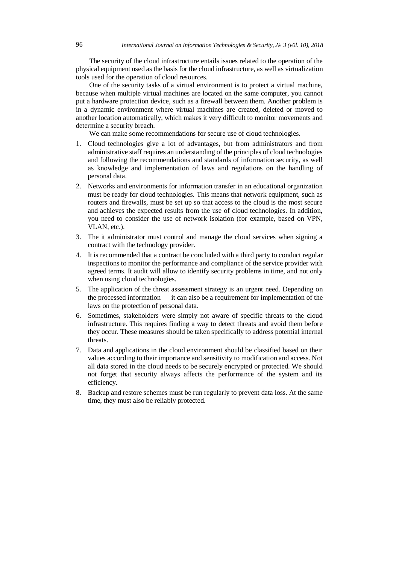The security of the cloud infrastructure entails issues related to the operation of the physical equipment used as the basis for the cloud infrastructure, as well as virtualization tools used for the operation of cloud resources.

One of the security tasks of a virtual environment is to protect a virtual machine, because when multiple virtual machines are located on the same computer, you cannot put a hardware protection device, such as a firewall between them. Another problem is in a dynamic environment where virtual machines are created, deleted or moved to another location automatically, which makes it very difficult to monitor movements and determine a security breach.

We can make some recommendations for secure use of cloud technologies.

- 1. Cloud technologies give a lot of advantages, but from administrators and from administrative staff requires an understanding of the principles of cloud technologies and following the recommendations and standards of information security, as well as knowledge and implementation of laws and regulations on the handling of personal data.
- 2. Networks and environments for information transfer in an educational organization must be ready for cloud technologies. This means that network equipment, such as routers and firewalls, must be set up so that access to the cloud is the most secure and achieves the expected results from the use of cloud technologies. In addition, you need to consider the use of network isolation (for example, based on VPN, VLAN, etc.).
- 3. The it administrator must control and manage the cloud services when signing a contract with the technology provider.
- 4. It is recommended that a contract be concluded with a third party to conduct regular inspections to monitor the performance and compliance of the service provider with agreed terms. It audit will allow to identify security problems in time, and not only when using cloud technologies.
- 5. The application of the threat assessment strategy is an urgent need. Depending on the processed information — it can also be a requirement for implementation of the laws on the protection of personal data.
- 6. Sometimes, stakeholders were simply not aware of specific threats to the cloud infrastructure. This requires finding a way to detect threats and avoid them before they occur. These measures should be taken specifically to address potential internal threats.
- 7. Data and applications in the cloud environment should be classified based on their values according to their importance and sensitivity to modification and access. Not all data stored in the cloud needs to be securely encrypted or protected. We should not forget that security always affects the performance of the system and its efficiency.
- 8. Backup and restore schemes must be run regularly to prevent data loss. At the same time, they must also be reliably protected.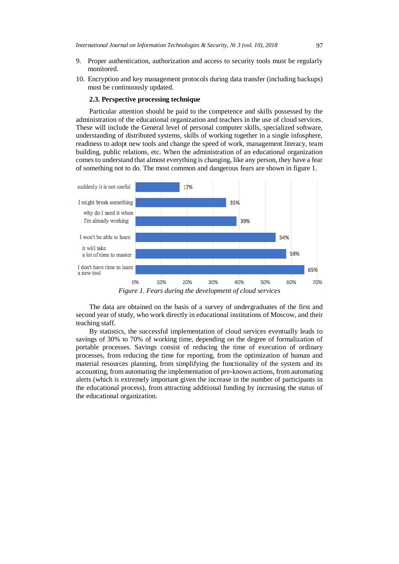- 9. Proper authentication, authorization and access to security tools must be regularly monitored.
- 10. Encryption and key management protocols during data transfer (including backups) must be continuously updated.

# **2.3. Perspective processing technique**

Particular attention should be paid to the competence and skills possessed by the administration of the educational organization and teachers in the use of cloud services. These will include the General level of personal computer skills, specialized software, understanding of distributed systems, skills of working together in a single infosphere, readiness to adopt new tools and change the speed of work, management literacy, team building, public relations, etc. When the administration of an educational organization comes to understand that almost everything is changing, like any person, they have a fear of something not to do. The most common and dangerous fears are shown in figure 1.



The data are obtained on the basis of a survey of undergraduates of the first and second year of study, who work directly in educational institutions of Moscow, and their teaching staff.

By statistics, the successful implementation of cloud services eventually leads to savings of 30% to 70% of working time, depending on the degree of formalization of portable processes. Savings consist of reducing the time of execution of ordinary processes, from reducing the time for reporting, from the optimization of human and material resources planning, from simplifying the functionality of the system and its accounting, from automating the implementation of pre-known actions, from automating alerts (which is extremely important given the increase in the number of participants in the educational process), from attracting additional funding by increasing the status of the educational organization.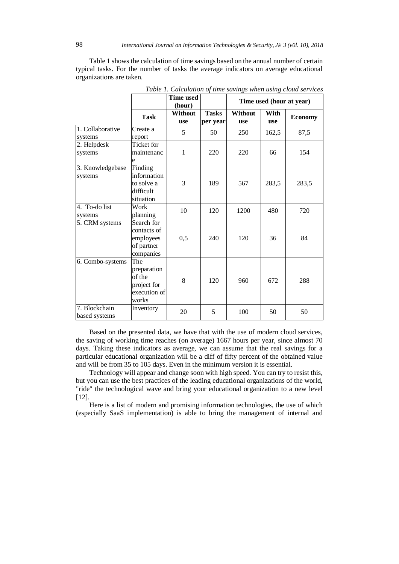Table 1 shows the calculation of time savings based on the annual number of certain typical tasks. For the number of tasks the average indicators on average educational organizations are taken.

|                                |                                                                      | <b>Time used</b><br>(hour) |                          | Time used (hour at year)     |                    |                |
|--------------------------------|----------------------------------------------------------------------|----------------------------|--------------------------|------------------------------|--------------------|----------------|
|                                | <b>Task</b>                                                          | Without<br><b>use</b>      | <b>Tasks</b><br>per year | <b>Without</b><br><b>use</b> | With<br><b>use</b> | <b>Economy</b> |
| 1. Collaborative<br>systems    | Create a<br>report                                                   | 5                          | 50                       | 250                          | 162,5              | 87,5           |
| 2. Helpdesk<br>systems         | Ticket for<br>maintenanc<br>e                                        | 1                          | 220                      | 220                          | 66                 | 154            |
| 3. Knowledgebase<br>systems    | Finding<br>information<br>to solve a<br>difficult<br>situation       | 3                          | 189                      | 567                          | 283,5              | 283,5          |
| 4. To-do list<br>systems       | Work<br>planning                                                     | 10                         | 120                      | 1200                         | 480                | 720            |
| 5. CRM systems                 | Search for<br>contacts of<br>employees<br>of partner<br>companies    | 0,5                        | 240                      | 120                          | 36                 | 84             |
| 6. Combo-systems               | The<br>preparation<br>of the<br>project for<br>execution of<br>works | 8                          | 120                      | 960                          | 672                | 288            |
| 7. Blockchain<br>based systems | Inventory                                                            | 20                         | 5                        | 100                          | 50                 | 50             |

*Table 1. Calculation of time savings when using cloud services*

Based on the presented data, we have that with the use of modern cloud services, the saving of working time reaches (on average) 1667 hours per year, since almost 70 days. Taking these indicators as average, we can assume that the real savings for a particular educational organization will be a diff of fifty percent of the obtained value and will be from 35 to 105 days. Even in the minimum version it is essential.

Technology will appear and change soon with high speed. You can try to resist this, but you can use the best practices of the leading educational organizations of the world, "ride" the technological wave and bring your educational organization to a new level [12].

Here is a list of modern and promising information technologies, the use of which (especially SaaS implementation) is able to bring the management of internal and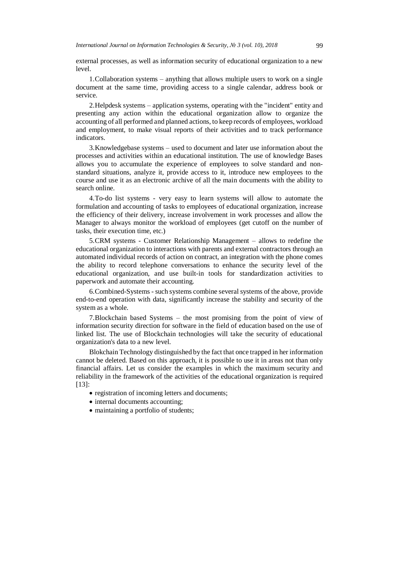external processes, as well as information security of educational organization to a new level.

1.Collaboration systems – anything that allows multiple users to work on a single document at the same time, providing access to a single calendar, address book or service.

2.Helpdesk systems – application systems, operating with the "incident" entity and presenting any action within the educational organization allow to organize the accounting of all performed and planned actions, to keep records of employees, workload and employment, to make visual reports of their activities and to track performance indicators.

3.Knowledgebase systems – used to document and later use information about the processes and activities within an educational institution. The use of knowledge Bases allows you to accumulate the experience of employees to solve standard and nonstandard situations, analyze it, provide access to it, introduce new employees to the course and use it as an electronic archive of all the main documents with the ability to search online.

4.To-do list systems - very easy to learn systems will allow to automate the formulation and accounting of tasks to employees of educational organization, increase the efficiency of their delivery, increase involvement in work processes and allow the Manager to always monitor the workload of employees (get cutoff on the number of tasks, their execution time, etc.)

5.CRM systems - Customer Relationship Management – allows to redefine the educational organization to interactions with parents and external contractors through an automated individual records of action on contract, an integration with the phone comes the ability to record telephone conversations to enhance the security level of the educational organization, and use built-in tools for standardization activities to paperwork and automate their accounting.

6.Combined-Systems - such systems combine several systems of the above, provide end-to-end operation with data, significantly increase the stability and security of the system as a whole.

7.Blockchain based Systems – the most promising from the point of view of information security direction for software in the field of education based on the use of linked list. The use of Blockchain technologies will take the security of educational organization's data to a new level.

Blokchain Technology distinguished by the fact that once trapped in her information cannot be deleted. Based on this approach, it is possible to use it in areas not than only financial affairs. Let us consider the examples in which the maximum security and reliability in the framework of the activities of the educational organization is required [13]:

- registration of incoming letters and documents;
- internal documents accounting;
- maintaining a portfolio of students;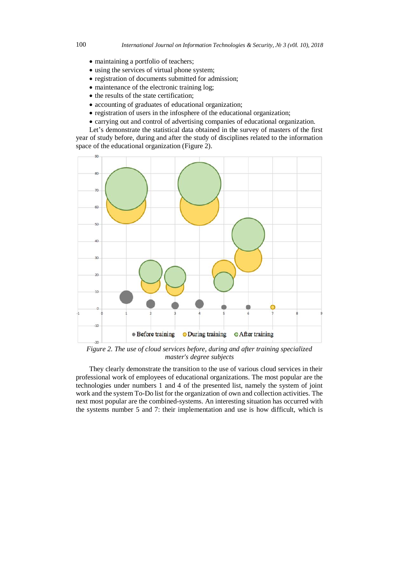- maintaining a portfolio of teachers;
- using the services of virtual phone system;
- registration of documents submitted for admission;
- maintenance of the electronic training log:
- the results of the state certification;
- accounting of graduates of educational organization;
- registration of users in the infosphere of the educational organization;
- carrying out and control of advertising companies of educational organization.

Let's demonstrate the statistical data obtained in the survey of masters of the first year of study before, during and after the study of disciplines related to the information space of the educational organization (Figure 2).



*Figure 2. The use of cloud services before, during and after training specialized master's degree subjects*

They clearly demonstrate the transition to the use of various cloud services in their professional work of employees of educational organizations. The most popular are the technologies under numbers 1 and 4 of the presented list, namely the system of joint work and the system To-Do list for the organization of own and collection activities. The next most popular are the combined-systems. An interesting situation has occurred with the systems number 5 and 7: their implementation and use is how difficult, which is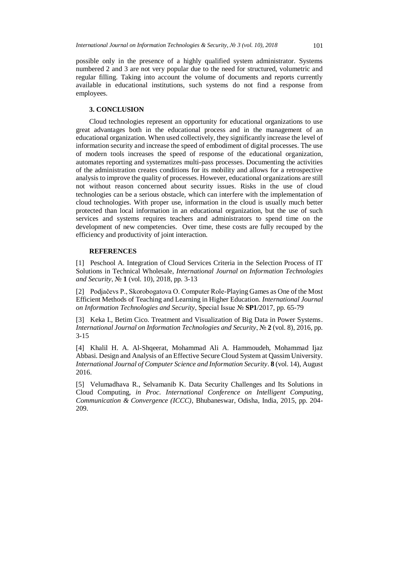possible only in the presence of a highly qualified system administrator. Systems numbered 2 and 3 are not very popular due to the need for structured, volumetric and regular filling. Taking into account the volume of documents and reports currently available in educational institutions, such systems do not find a response from employees.

# **3. CONCLUSION**

Cloud technologies represent an opportunity for educational organizations to use great advantages both in the educational process and in the management of an educational organization. When used collectively, they significantly increase the level of information security and increase the speed of embodiment of digital processes. The use of modern tools increases the speed of response of the educational organization, automates reporting and systematizes multi-pass processes. Documenting the activities of the administration creates conditions for its mobility and allows for a retrospective analysis to improve the quality of processes. However, educational organizations are still not without reason concerned about security issues. Risks in the use of cloud technologies can be a serious obstacle, which can interfere with the implementation of cloud technologies. With proper use, information in the cloud is usually much better protected than local information in an educational organization, but the use of such services and systems requires teachers and administrators to spend time on the development of new competencies. Over time, these costs are fully recouped by the efficiency and productivity of joint interaction.

### **REFERENCES**

[1] Peschool A. Integration of Cloud Services Criteria in the Selection Process of IT Solutions in Technical Wholesale, *International Journal on Information Technologies and Security*, № **1** (vol. 10), 2018, pp. 3-13

[2] Podjačevs P., Skorobogatova O. Computer Role-Playing Games as One of the Most Efficient Methods of Teaching and Learning in Higher Education. *International Journal on Information Technologies and Security*, Special Issue № **SP1**/2017, pp. 65-79

[3] Keka I., Betim Cico. Treatment and Visualization of Big Data in Power Systems. *International Journal on Information Technologies and Security*, № 2 (vol. 8), 2016, pp. 3-15

[4] Khalil H. A. Al-Shqeerat, Mohammad Ali A. Hammoudeh, Mohammad Ijaz Abbasi. Design and Analysis of an Effective Secure Cloud System at Qassim University. *International Journal of Computer Science and Information Security*. **8** (vol. 14), August 2016.

[5] Velumadhava R., Selvamanib K. Data Security Challenges and Its Solutions in Cloud Computing, *in Proc. International Conference on Intelligent Computing, Communication & Convergence (ICCC)*, Bhubaneswar, Odisha, India, 2015, pp. 204- 209.